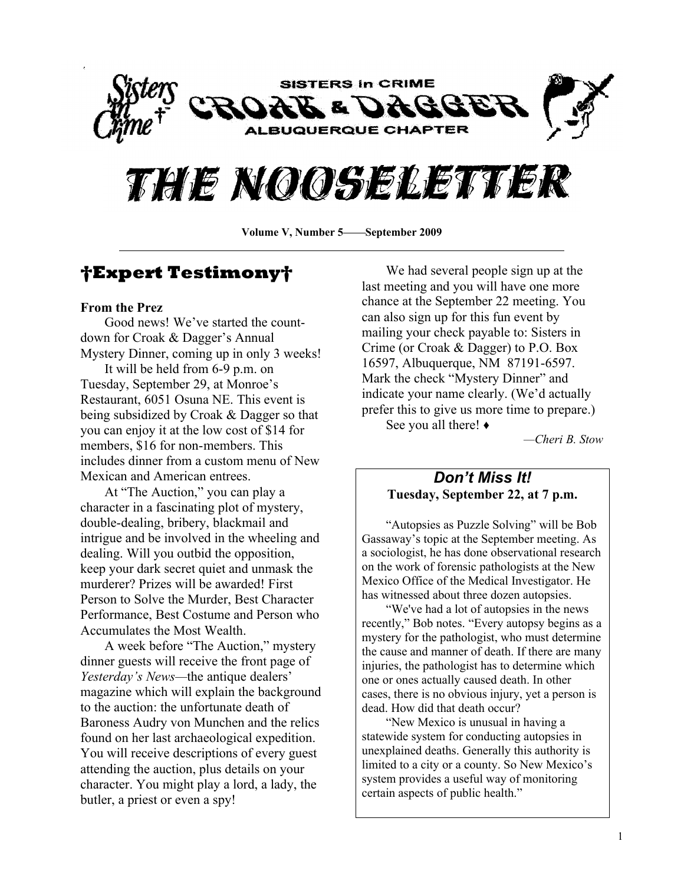



**Volume V, Number 5 September 2009**

# **Expert Testimony**

#### **From the Prez**

Good news! We've started the countdown for Croak & Dagger's Annual Mystery Dinner, coming up in only 3 weeks!

It will be held from 6-9 p.m. on Tuesday, September 29, at Monroe's Restaurant, 6051 Osuna NE. This event is being subsidized by Croak & Dagger so that you can enjoy it at the low cost of \$14 for members, \$16 for non-members. This includes dinner from a custom menu of New Mexican and American entrees.

At "The Auction," you can play a character in a fascinating plot of mystery, double-dealing, bribery, blackmail and intrigue and be involved in the wheeling and dealing. Will you outbid the opposition, keep your dark secret quiet and unmask the murderer? Prizes will be awarded! First Person to Solve the Murder, Best Character Performance, Best Costume and Person who Accumulates the Most Wealth.

A week before "The Auction," mystery dinner guests will receive the front page of *Yesterday*'s *News*—the antique dealers' magazine which will explain the background to the auction: the unfortunate death of Baroness Audry von Munchen and the relics found on her last archaeological expedition. You will receive descriptions of every guest attending the auction, plus details on your character. You might play a lord, a lady, the butler, a priest or even a spy!

We had several people sign up at the last meeting and you will have one more chance at the September 22 meeting. You can also sign up for this fun event by mailing your check payable to: Sisters in Crime (or Croak & Dagger) to P.O. Box 16597, Albuquerque, NM 87191-6597. Mark the check "Mystery Dinner" and indicate your name clearly. (We'd actually prefer this to give us more time to prepare.)

See you all there!  $\bullet$ 

*²Cheri B. Stow*

#### *Don¶t Miss It!* **Tuesday, September 22, at 7 p.m.**

³Autopsies as Puzzle Solving´ will be Bob Gassaway's topic at the September meeting. As a sociologist, he has done observational research on the work of forensic pathologists at the New Mexico Office of the Medical Investigator. He has witnessed about three dozen autopsies.

³We've had a lot of autopsies in the news recently," Bob notes. "Every autopsy begins as a mystery for the pathologist, who must determine the cause and manner of death. If there are many injuries, the pathologist has to determine which one or ones actually caused death. In other cases, there is no obvious injury, yet a person is dead. How did that death occur?

"New Mexico is unusual in having a statewide system for conducting autopsies in unexplained deaths. Generally this authority is limited to a city or a county. So New Mexico's system provides a useful way of monitoring certain aspects of public health.´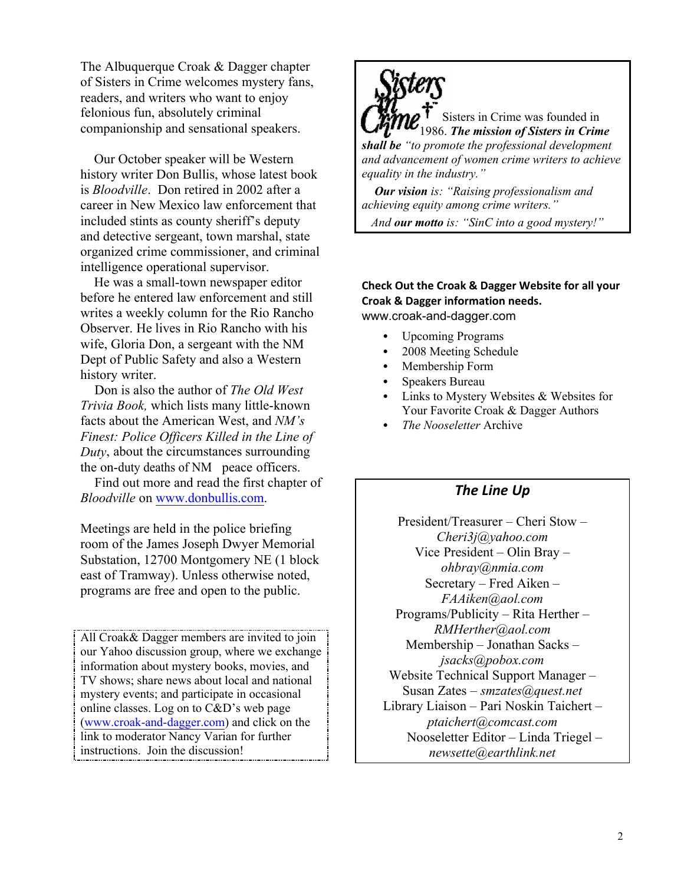The Albuquerque Croak & Dagger chapter of Sisters in Crime welcomes mystery fans, readers, and writers who want to enjoy felonious fun, absolutely criminal companionship and sensational speakers.

 Our October speaker will be Western history writer Don Bullis, whose latest book is *Bloodville*. Don retired in 2002 after a career in New Mexico law enforcement that included stints as county sheriff's deputy and detective sergeant, town marshal, state organized crime commissioner, and criminal intelligence operational supervisor.

 He was a small-town newspaper editor before he entered law enforcement and still writes a weekly column for the Rio Rancho Observer. He lives in Rio Rancho with his wife, Gloria Don, a sergeant with the NM Dept of Public Safety and also a Western history writer.

 Don is also the author of *The Old West Trivia Book,* which lists many little-known facts about the American West, and *NM*<sup>*'s*</sup> *Finest: Police Officers Killed in the Line of Duty*, about the circumstances surrounding the on-duty deaths of NM peace officers.

 Find out more and read the first chapter of *Bloodville* on www.donbullis.com.

Meetings are held in the police briefing room of the James Joseph Dwyer Memorial Substation, 12700 Montgomery NE (1 block east of Tramway). Unless otherwise noted, programs are free and open to the public.

All Croak& Dagger members are invited to join our Yahoo discussion group, where we exchange information about mystery books, movies, and TV shows; share news about local and national mystery events; and participate in occasional online classes. Log on to  $C&D$ 's web page (www.croak-and-dagger.com) and click on the link to moderator Nancy Varian for further instructions. Join the discussion!



Sisters in Crime was founded in 1986. *The mission of Sisters in Crime shall be ³to promote the professional development and advancement of women crime writers to achieve equality in the industry.´*

 *Our vision is: ³Raising professionalism and achieving equity among crime writers.´*

 *And our motto is: ³SinC into a good mystery!´*

#### **Check Out the Croak & Dagger Website for all your Croak & Dagger information needs.**

www.croak-and-dagger.com

- Upcoming Programs
- 2008 Meeting Schedule
- Membership Form
- Speakers Bureau
- Links to Mystery Websites & Websites for Your Favorite Croak & Dagger Authors
- *The Nooseletter* Archive

#### *The Line Up*

President/Treasurer  $-$  Cheri Stow  $-$ *Cheri3j@yahoo.com* Vice President  $-$  Olin Bray  $$ *ohbray@nmia.com*  $S$ ecretary – Fred Aiken – *FAAiken@aol.com* Programs/Publicity  $-$  Rita Herther  $-$ *RMHerther@aol.com*  $M$ embership  $-$  Jonathan Sacks  $$ *jsacks@pobox.com* Website Technical Support Manager -Susan Zates ± *smzates@quest.net* Library Liaison - Pari Noskin Taichert *ptaichert@comcast.com* Nooseletter Editor - Linda Triegel *newsette@earthlink.net*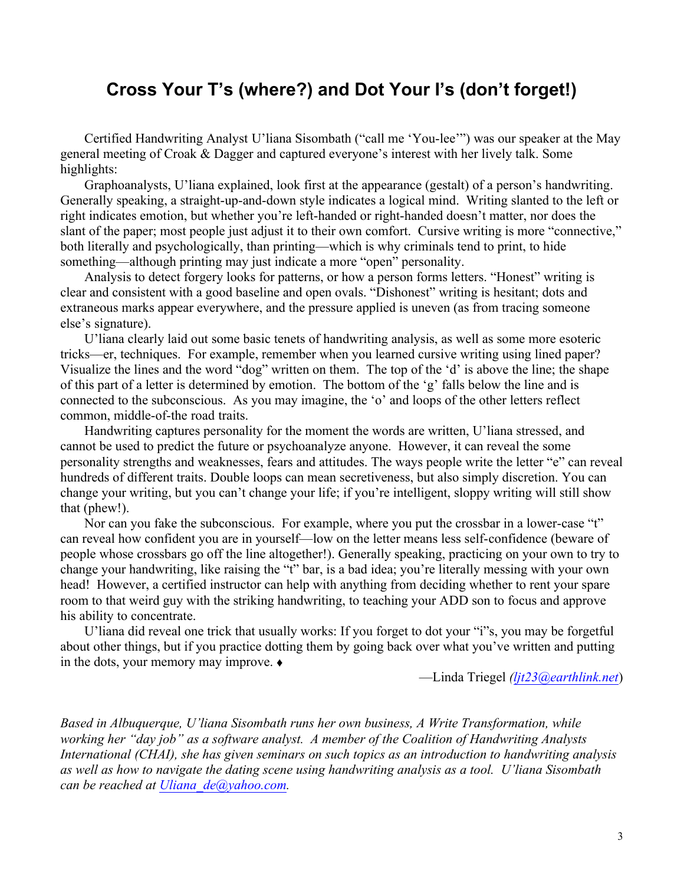# **Cross Your T¶s (where?) and Dot Your I¶s (don¶t forget!)**

Certified Handwriting Analyst U'liana Sisombath ("call me 'You-lee"") was our speaker at the May general meeting of Croak & Dagger and captured everyone's interest with her lively talk. Some highlights:

Graphoanalysts, U'liana explained, look first at the appearance (gestalt) of a person's handwriting. Generally speaking, a straight-up-and-down style indicates a logical mind. Writing slanted to the left or right indicates emotion, but whether you're left-handed or right-handed doesn't matter, nor does the slant of the paper; most people just adjust it to their own comfort. Cursive writing is more "connective," both literally and psychologically, than printing—which is why criminals tend to print, to hide something—although printing may just indicate a more "open" personality.

Analysis to detect forgery looks for patterns, or how a person forms letters. "Honest" writing is clear and consistent with a good baseline and open ovals. "Dishonest" writing is hesitant; dots and extraneous marks appear everywhere, and the pressure applied is uneven (as from tracing someone else's signature).

U'liana clearly laid out some basic tenets of handwriting analysis, as well as some more esoteric tricks—er, techniques. For example, remember when you learned cursive writing using lined paper? Visualize the lines and the word "dog" written on them. The top of the 'd' is above the line; the shape of this part of a letter is determined by emotion. The bottom of the 'g' falls below the line and is connected to the subconscious. As you may imagine, the 'o' and loops of the other letters reflect common, middle-of-the road traits.

Handwriting captures personality for the moment the words are written, U'liana stressed, and cannot be used to predict the future or psychoanalyze anyone. However, it can reveal the some personality strengths and weaknesses, fears and attitudes. The ways people write the letter "e" can reveal hundreds of different traits. Double loops can mean secretiveness, but also simply discretion. You can change your writing, but you can't change your life; if you're intelligent, sloppy writing will still show that (phew!).

Nor can you fake the subconscious. For example, where you put the crossbar in a lower-case "t" can reveal how confident you are in yourself—low on the letter means less self-confidence (beware of people whose crossbars go off the line altogether!). Generally speaking, practicing on your own to try to change your handwriting, like raising the "t" bar, is a bad idea; you're literally messing with your own head! However, a certified instructor can help with anything from deciding whether to rent your spare room to that weird guy with the striking handwriting, to teaching your ADD son to focus and approve his ability to concentrate.

U'liana did reveal one trick that usually works: If you forget to dot your "i"s, you may be forgetful about other things, but if you practice dotting them by going back over what you've written and putting in the dots, your memory may improve.  $\bullet$ 

²Linda Triegel *(ljt23@earthlink.net*)

*Based in Albuquerque, U¶liana Sisombath runs her own business, A Write Transformation, while working her ³day job´ as a software analyst. A member of the Coalition of Handwriting Analysts International (CHAI), she has given seminars on such topics as an introduction to handwriting analysis as well as how to navigate the dating scene using handwriting analysis as a tool. U¶liana Sisombath can be reached at Uliana\_de@yahoo.com.*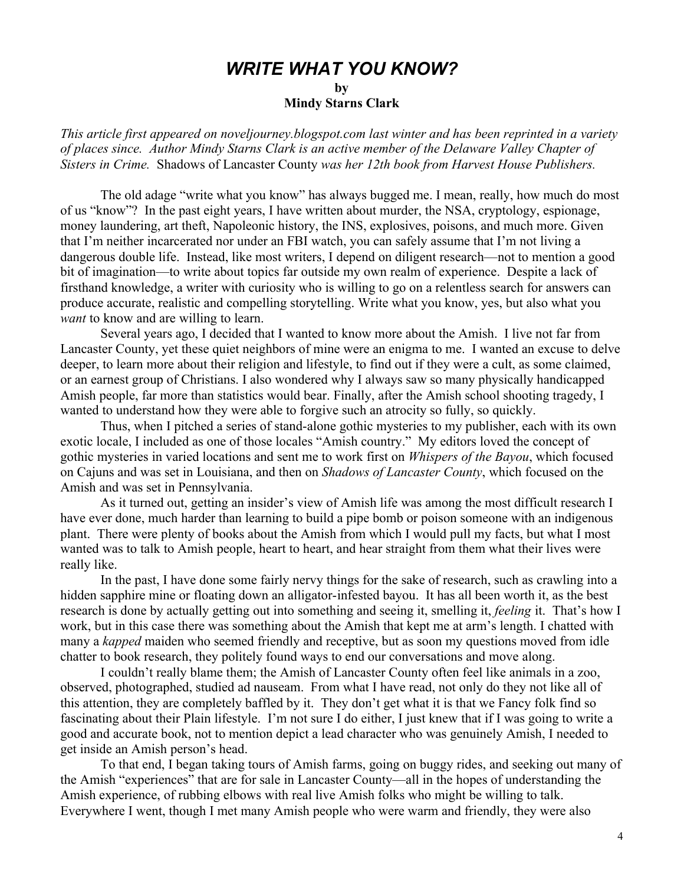# *WRITE WHAT YOU KNOW?*

**by**

**Mindy Starns Clark**

*This article first appeared on noveljourney.blogspot.com last winter and has been reprinted in a variety of places since. Author Mindy Starns Clark is an active member of the Delaware Valley Chapter of Sisters in Crime.* Shadows of Lancaster County *was her 12th book from Harvest House Publishers.*

The old adage "write what you know" has always bugged me. I mean, really, how much do most of us "know"? In the past eight years, I have written about murder, the NSA, cryptology, espionage, money laundering, art theft, Napoleonic history, the INS, explosives, poisons, and much more. Given that I'm neither incarcerated nor under an FBI watch, you can safely assume that I'm not living a dangerous double life. Instead, like most writers, I depend on diligent research—not to mention a good bit of imagination—to write about topics far outside my own realm of experience. Despite a lack of firsthand knowledge, a writer with curiosity who is willing to go on a relentless search for answers can produce accurate, realistic and compelling storytelling. Write what you know, yes, but also what you *want* to know and are willing to learn.

Several years ago, I decided that I wanted to know more about the Amish. I live not far from Lancaster County, yet these quiet neighbors of mine were an enigma to me. I wanted an excuse to delve deeper, to learn more about their religion and lifestyle, to find out if they were a cult, as some claimed, or an earnest group of Christians. I also wondered why I always saw so many physically handicapped Amish people, far more than statistics would bear. Finally, after the Amish school shooting tragedy, I wanted to understand how they were able to forgive such an atrocity so fully, so quickly.

Thus, when I pitched a series of stand-alone gothic mysteries to my publisher, each with its own exotic locale, I included as one of those locales "Amish country." My editors loved the concept of gothic mysteries in varied locations and sent me to work first on *Whispers of the Bayou*, which focused on Cajuns and was set in Louisiana, and then on *Shadows of Lancaster County*, which focused on the Amish and was set in Pennsylvania.

As it turned out, getting an insider's view of Amish life was among the most difficult research I have ever done, much harder than learning to build a pipe bomb or poison someone with an indigenous plant. There were plenty of books about the Amish from which I would pull my facts, but what I most wanted was to talk to Amish people, heart to heart, and hear straight from them what their lives were really like.

In the past, I have done some fairly nervy things for the sake of research, such as crawling into a hidden sapphire mine or floating down an alligator-infested bayou. It has all been worth it, as the best research is done by actually getting out into something and seeing it, smelling it, *feeling* it. That's how I work, but in this case there was something about the Amish that kept me at arm's length. I chatted with many a *kapped* maiden who seemed friendly and receptive, but as soon my questions moved from idle chatter to book research, they politely found ways to end our conversations and move along.

I couldn't really blame them; the Amish of Lancaster County often feel like animals in a zoo, observed, photographed, studied ad nauseam. From what I have read, not only do they not like all of this attention, they are completely baffled by it. They don't get what it is that we Fancy folk find so fascinating about their Plain lifestyle. I'm not sure I do either, I just knew that if I was going to write a good and accurate book, not to mention depict a lead character who was genuinely Amish, I needed to get inside an Amish person's head.

To that end, I began taking tours of Amish farms, going on buggy rides, and seeking out many of the Amish "experiences" that are for sale in Lancaster County—all in the hopes of understanding the Amish experience, of rubbing elbows with real live Amish folks who might be willing to talk. Everywhere I went, though I met many Amish people who were warm and friendly, they were also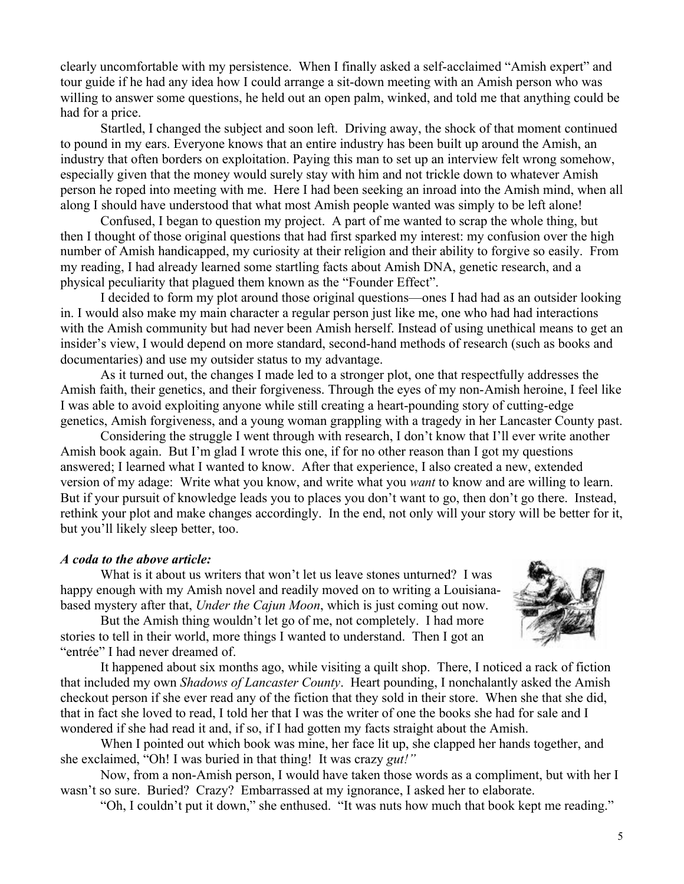clearly uncomfortable with my persistence. When I finally asked a self-acclaimed "Amish expert" and tour guide if he had any idea how I could arrange a sit-down meeting with an Amish person who was willing to answer some questions, he held out an open palm, winked, and told me that anything could be had for a price.

Startled, I changed the subject and soon left. Driving away, the shock of that moment continued to pound in my ears. Everyone knows that an entire industry has been built up around the Amish, an industry that often borders on exploitation. Paying this man to set up an interview felt wrong somehow, especially given that the money would surely stay with him and not trickle down to whatever Amish person he roped into meeting with me. Here I had been seeking an inroad into the Amish mind, when all along I should have understood that what most Amish people wanted was simply to be left alone!

Confused, I began to question my project. A part of me wanted to scrap the whole thing, but then I thought of those original questions that had first sparked my interest: my confusion over the high number of Amish handicapped, my curiosity at their religion and their ability to forgive so easily. From my reading, I had already learned some startling facts about Amish DNA, genetic research, and a physical peculiarity that plagued them known as the "Founder Effect".

I decided to form my plot around those original questions—ones I had had as an outsider looking in. I would also make my main character a regular person just like me, one who had had interactions with the Amish community but had never been Amish herself. Instead of using unethical means to get an insider's view, I would depend on more standard, second-hand methods of research (such as books and documentaries) and use my outsider status to my advantage.

As it turned out, the changes I made led to a stronger plot, one that respectfully addresses the Amish faith, their genetics, and their forgiveness. Through the eyes of my non-Amish heroine, I feel like I was able to avoid exploiting anyone while still creating a heart-pounding story of cutting-edge genetics, Amish forgiveness, and a young woman grappling with a tragedy in her Lancaster County past.

Considering the struggle I went through with research, I don't know that I'll ever write another Amish book again. But I'm glad I wrote this one, if for no other reason than I got my questions answered; I learned what I wanted to know. After that experience, I also created a new, extended version of my adage: Write what you know, and write what you *want* to know and are willing to learn. But if your pursuit of knowledge leads you to places you don't want to go, then don't go there. Instead, rethink your plot and make changes accordingly. In the end, not only will your story will be better for it, but you'll likely sleep better, too.

#### *A coda to the above article:*

What is it about us writers that won't let us leave stones unturned? I was happy enough with my Amish novel and readily moved on to writing a Louisianabased mystery after that, *Under the Cajun Moon*, which is just coming out now.

But the Amish thing wouldn't let go of me, not completely. I had more stories to tell in their world, more things I wanted to understand. Then I got an "entrée" I had never dreamed of.

It happened about six months ago, while visiting a quilt shop. There, I noticed a rack of fiction that included my own *Shadows of Lancaster County*. Heart pounding, I nonchalantly asked the Amish checkout person if she ever read any of the fiction that they sold in their store. When she that she did, that in fact she loved to read, I told her that I was the writer of one the books she had for sale and I wondered if she had read it and, if so, if I had gotten my facts straight about the Amish.

When I pointed out which book was mine, her face lit up, she clapped her hands together, and she exclaimed, "Oh! I was buried in that thing! It was crazy *gut!*"

Now, from a non-Amish person, I would have taken those words as a compliment, but with her I wasn't so sure. Buried? Crazy? Embarrassed at my ignorance, I asked her to elaborate.

"Oh, I couldn't put it down," she enthused. "It was nuts how much that book kept me reading."

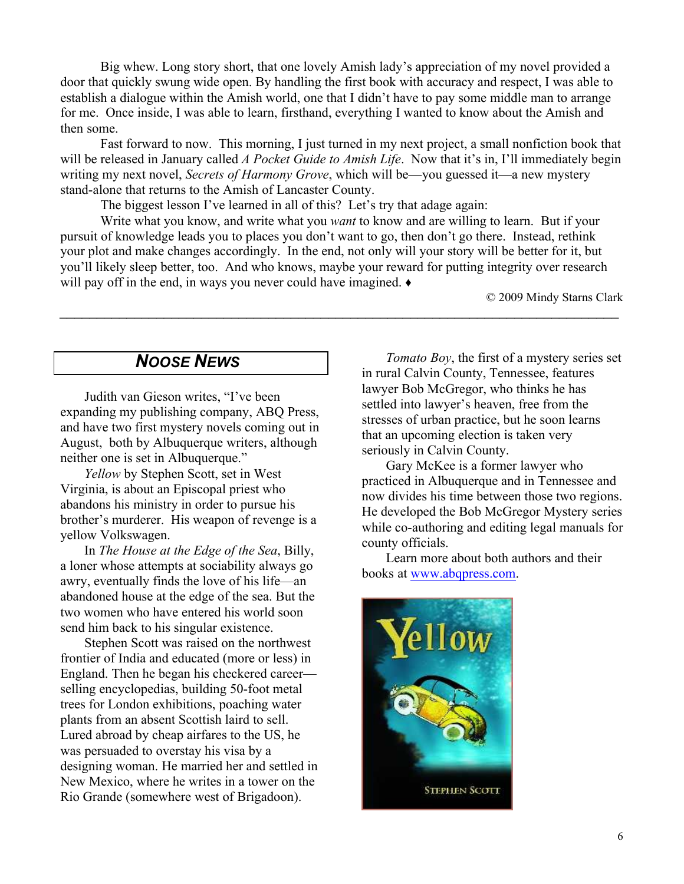Big whew. Long story short, that one lovely Amish lady's appreciation of my novel provided a door that quickly swung wide open. By handling the first book with accuracy and respect, I was able to establish a dialogue within the Amish world, one that I didn't have to pay some middle man to arrange for me. Once inside, I was able to learn, firsthand, everything I wanted to know about the Amish and then some.

Fast forward to now. This morning, I just turned in my next project, a small nonfiction book that will be released in January called *A Pocket Guide to Amish Life*. Now that it's in, I'll immediately begin writing my next novel, *Secrets of Harmony Grove*, which will be—you guessed it—a new mystery stand-alone that returns to the Amish of Lancaster County.

The biggest lesson I've learned in all of this? Let's try that adage again:

Write what you know, and write what you *want* to know and are willing to learn. But if your pursuit of knowledge leads you to places you don't want to go, then don't go there. Instead, rethink your plot and make changes accordingly. In the end, not only will your story will be better for it, but you'll likely sleep better, too. And who knows, maybe your reward for putting integrity over research will pay off in the end, in ways you never could have imagined.  $\bullet$ 

*\_\_\_\_\_\_\_\_\_\_\_\_\_\_\_\_\_\_\_\_\_\_\_\_\_\_\_\_\_\_\_\_\_\_\_\_\_\_\_\_\_\_\_\_\_\_\_\_\_\_\_\_\_\_\_\_\_\_\_\_\_\_\_\_\_\_\_\_\_\_\_\_\_\_\_*

© 2009 Mindy Starns Clark

# *NOOSE NEWS*

Judith van Gieson writes, "I've been expanding my publishing company, ABQ Press, and have two first mystery novels coming out in August, both by Albuquerque writers, although neither one is set in Albuquerque.´

*Yellow* by Stephen Scott, set in West Virginia, is about an Episcopal priest who abandons his ministry in order to pursue his brother's murderer. His weapon of revenge is a yellow Volkswagen.

In *The House at the Edge of the Sea*, Billy, a loner whose attempts at sociability always go awry, eventually finds the love of his life—an abandoned house at the edge of the sea. But the two women who have entered his world soon send him back to his singular existence.

Stephen Scott was raised on the northwest frontier of India and educated (more or less) in England. Then he began his checkered career selling encyclopedias, building 50-foot metal trees for London exhibitions, poaching water plants from an absent Scottish laird to sell. Lured abroad by cheap airfares to the US, he was persuaded to overstay his visa by a designing woman. He married her and settled in New Mexico, where he writes in a tower on the Rio Grande (somewhere west of Brigadoon).

*Tomato Boy*, the first of a mystery series set in rural Calvin County, Tennessee, features lawyer Bob McGregor, who thinks he has settled into lawyer's heaven, free from the stresses of urban practice, but he soon learns that an upcoming election is taken very seriously in Calvin County.

Gary McKee is a former lawyer who practiced in Albuquerque and in Tennessee and now divides his time between those two regions. He developed the Bob McGregor Mystery series while co-authoring and editing legal manuals for county officials.

Learn more about both authors and their books at www.abqpress.com.

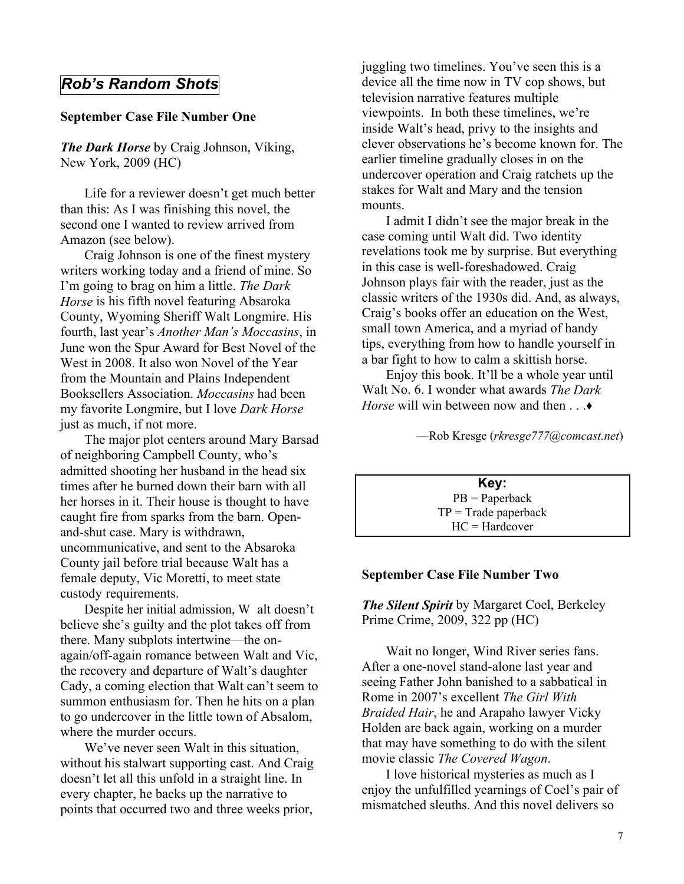# *Rob¶s Random Shots*

#### **September Case File Number One**

*The Dark Horse* by Craig Johnson, Viking, New York, 2009 (HC)

Life for a reviewer doesn't get much better than this: As I was finishing this novel, the second one I wanted to review arrived from Amazon (see below).

Craig Johnson is one of the finest mystery writers working today and a friend of mine. So I'm going to brag on him a little. *The Dark Horse* is his fifth novel featuring Absaroka County, Wyoming Sheriff Walt Longmire. His fourth, last year's *Another Man's Moccasins*, in June won the Spur Award for Best Novel of the West in 2008. It also won Novel of the Year from the Mountain and Plains Independent Booksellers Association. *Moccasins* had been my favorite Longmire, but I love *Dark Horse* just as much, if not more.

The major plot centers around Mary Barsad of neighboring Campbell County, who's admitted shooting her husband in the head six times after he burned down their barn with all her horses in it. Their house is thought to have caught fire from sparks from the barn. Openand-shut case. Mary is withdrawn, uncommunicative, and sent to the Absaroka County jail before trial because Walt has a female deputy, Vic Moretti, to meet state custody requirements.

Despite her initial admission, W alt doesn't believe she's guilty and the plot takes off from there. Many subplots intertwine—the onagain/off-again romance between Walt and Vic, the recovery and departure of Walt's daughter Cady, a coming election that Walt can't seem to summon enthusiasm for. Then he hits on a plan to go undercover in the little town of Absalom, where the murder occurs.

We've never seen Walt in this situation, without his stalwart supporting cast. And Craig doesn't let all this unfold in a straight line. In every chapter, he backs up the narrative to points that occurred two and three weeks prior,

juggling two timelines. You've seen this is a device all the time now in TV cop shows, but television narrative features multiple viewpoints. In both these timelines, we're inside Walt's head, privy to the insights and clever observations he's become known for. The earlier timeline gradually closes in on the undercover operation and Craig ratchets up the stakes for Walt and Mary and the tension mounts.

I admit I didn't see the major break in the case coming until Walt did. Two identity revelations took me by surprise. But everything in this case is well-foreshadowed. Craig Johnson plays fair with the reader, just as the classic writers of the 1930s did. And, as always, Craig's books offer an education on the West, small town America, and a myriad of handy tips, everything from how to handle yourself in a bar fight to how to calm a skittish horse.

Enjoy this book. It'll be a whole year until Walt No. 6. I wonder what awards *The Dark Horse* will win between now and then . . .  $\bullet$ 

²Rob Kresge (*rkresge777@comcast.net*)

**Key:** PB = Paperback  $TP = Trade$  paperback HC = Hardcover

#### **September Case File Number Two**

*The Silent Spirit* by Margaret Coel, Berkeley Prime Crime, 2009, 322 pp (HC)

Wait no longer, Wind River series fans. After a one-novel stand-alone last year and seeing Father John banished to a sabbatical in Rome in 2007's excellent *The Girl With Braided Hair*, he and Arapaho lawyer Vicky Holden are back again, working on a murder that may have something to do with the silent movie classic *The Covered Wagon*.

I love historical mysteries as much as I enjoy the unfulfilled yearnings of Coel's pair of mismatched sleuths. And this novel delivers so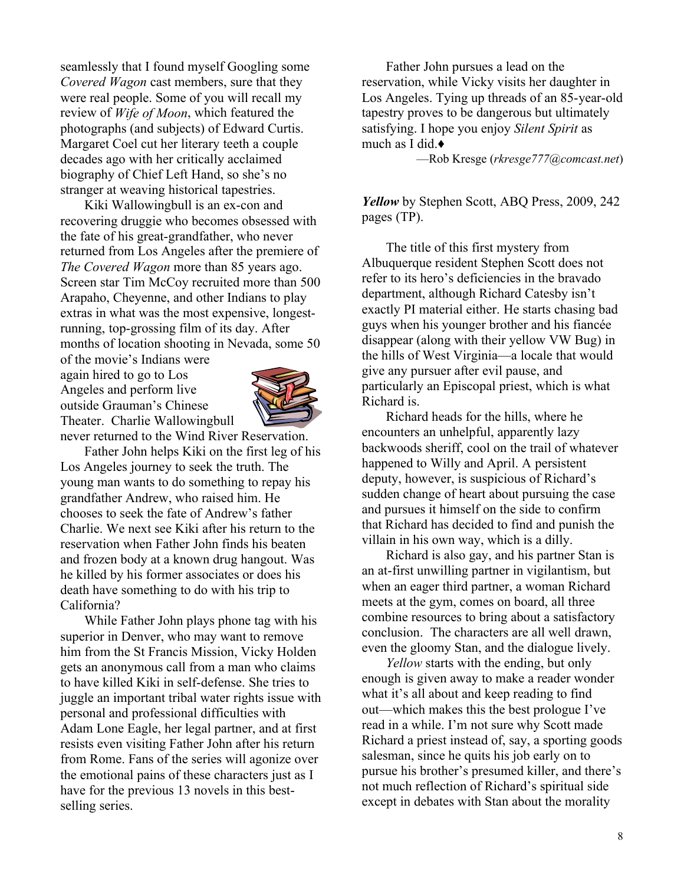seamlessly that I found myself Googling some *Covered Wagon* cast members, sure that they were real people. Some of you will recall my review of *Wife of Moon*, which featured the photographs (and subjects) of Edward Curtis. Margaret Coel cut her literary teeth a couple decades ago with her critically acclaimed biography of Chief Left Hand, so she's no stranger at weaving historical tapestries.

Kiki Wallowingbull is an ex-con and recovering druggie who becomes obsessed with the fate of his great-grandfather, who never returned from Los Angeles after the premiere of *The Covered Wagon* more than 85 years ago. Screen star Tim McCoy recruited more than 500 Arapaho, Cheyenne, and other Indians to play extras in what was the most expensive, longestrunning, top-grossing film of its day. After months of location shooting in Nevada, some 50

of the movie's Indians were again hired to go to Los Angeles and perform live outside Grauman's Chinese Theater. Charlie Wallowingbull never returned to the Wind River Reservation.



Father John helps Kiki on the first leg of his Los Angeles journey to seek the truth. The young man wants to do something to repay his grandfather Andrew, who raised him. He chooses to seek the fate of Andrew's father Charlie. We next see Kiki after his return to the reservation when Father John finds his beaten and frozen body at a known drug hangout. Was he killed by his former associates or does his death have something to do with his trip to California?

While Father John plays phone tag with his superior in Denver, who may want to remove him from the St Francis Mission, Vicky Holden gets an anonymous call from a man who claims to have killed Kiki in self-defense. She tries to juggle an important tribal water rights issue with personal and professional difficulties with Adam Lone Eagle, her legal partner, and at first resists even visiting Father John after his return from Rome. Fans of the series will agonize over the emotional pains of these characters just as I have for the previous 13 novels in this bestselling series.

Father John pursues a lead on the reservation, while Vicky visits her daughter in Los Angeles. Tying up threads of an 85-year-old tapestry proves to be dangerous but ultimately satisfying. I hope you enjoy *Silent Spirit* as much as I did.**Ƈ**

²Rob Kresge (*rkresge777@comcast.net*)

*Yellow* by Stephen Scott, ABQ Press, 2009, 242 pages (TP).

The title of this first mystery from Albuquerque resident Stephen Scott does not refer to its hero's deficiencies in the bravado department, although Richard Catesby isn't exactly PI material either. He starts chasing bad guys when his younger brother and his fiancée disappear (along with their yellow VW Bug) in the hills of West Virginia—a locale that would give any pursuer after evil pause, and particularly an Episcopal priest, which is what Richard is.

Richard heads for the hills, where he encounters an unhelpful, apparently lazy backwoods sheriff, cool on the trail of whatever happened to Willy and April. A persistent deputy, however, is suspicious of Richard's sudden change of heart about pursuing the case and pursues it himself on the side to confirm that Richard has decided to find and punish the villain in his own way, which is a dilly.

Richard is also gay, and his partner Stan is an at-first unwilling partner in vigilantism, but when an eager third partner, a woman Richard meets at the gym, comes on board, all three combine resources to bring about a satisfactory conclusion. The characters are all well drawn, even the gloomy Stan, and the dialogue lively.

*Yellow* starts with the ending, but only enough is given away to make a reader wonder what it's all about and keep reading to find  $out$ —which makes this the best prologue I've read in a while. I'm not sure why Scott made Richard a priest instead of, say, a sporting goods salesman, since he quits his job early on to pursue his brother's presumed killer, and there's not much reflection of Richard's spiritual side except in debates with Stan about the morality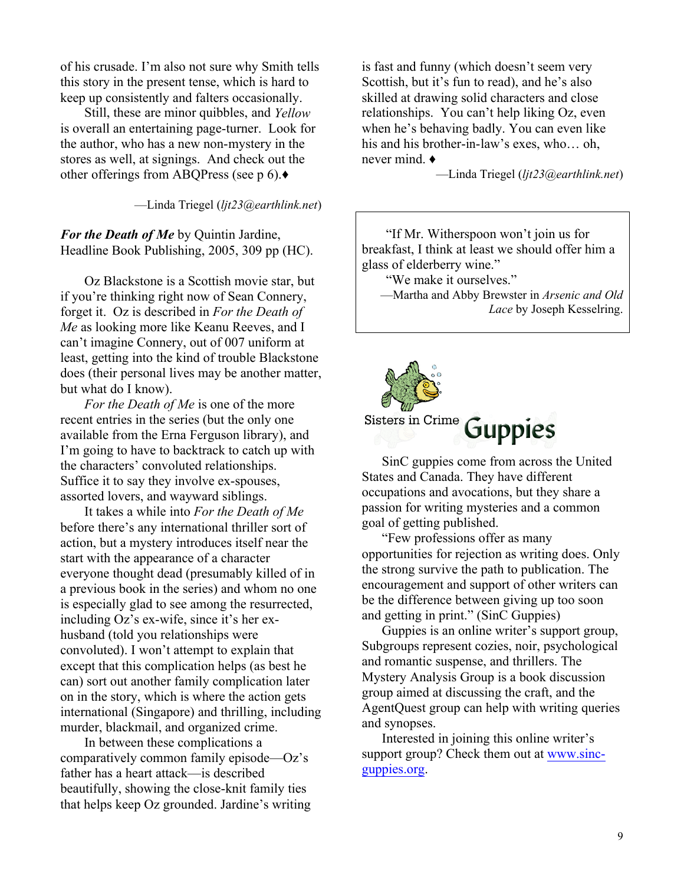of his crusade. I'm also not sure why Smith tells this story in the present tense, which is hard to keep up consistently and falters occasionally.

Still, these are minor quibbles, and *Yellow* is overall an entertaining page-turner. Look for the author, who has a new non-mystery in the stores as well, at signings. And check out the other offerings from ABQPress (see p 6). $\blacklozenge$ 

²Linda Triegel (*ljt23@earthlink.net*)

*For the Death of Me* by Quintin Jardine, Headline Book Publishing, 2005, 309 pp (HC).

Oz Blackstone is a Scottish movie star, but if you're thinking right now of Sean Connery, forget it. Oz is described in *For the Death of Me* as looking more like Keanu Reeves, and I can't imagine Connery, out of 007 uniform at least, getting into the kind of trouble Blackstone does (their personal lives may be another matter, but what do I know).

*For the Death of Me* is one of the more recent entries in the series (but the only one available from the Erna Ferguson library), and I'm going to have to backtrack to catch up with the characters' convoluted relationships. Suffice it to say they involve ex-spouses, assorted lovers, and wayward siblings.

It takes a while into *For the Death of Me* before there's any international thriller sort of action, but a mystery introduces itself near the start with the appearance of a character everyone thought dead (presumably killed of in a previous book in the series) and whom no one is especially glad to see among the resurrected, including  $Oz$ 's ex-wife, since it's her exhusband (told you relationships were convoluted). I won't attempt to explain that except that this complication helps (as best he can) sort out another family complication later on in the story, which is where the action gets international (Singapore) and thrilling, including murder, blackmail, and organized crime.

In between these complications a comparatively common family episode—Oz's father has a heart attack—is described beautifully, showing the close-knit family ties that helps keep Oz grounded. Jardine's writing is fast and funny (which doesn't seem very Scottish, but it's fun to read), and he's also skilled at drawing solid characters and close relationships. You can't help liking Oz, even when he's behaving badly. You can even like his and his brother-in-law's exes, who... oh, never mind. **Ƈ**

²Linda Triegel (*ljt23@earthlink.net*)

"If Mr. Witherspoon won't join us for breakfast, I think at least we should offer him a glass of elderberry wine.´

"We make it ourselves."

-Martha and Abby Brewster in *Arsenic and Old Lace* by Joseph Kesselring.



SinC guppies come from across the United States and Canada. They have different occupations and avocations, but they share a passion for writing mysteries and a common goal of getting published.

³Few professions offer as many opportunities for rejection as writing does. Only the strong survive the path to publication. The encouragement and support of other writers can be the difference between giving up too soon and getting in print." (SinC Guppies)

Guppies is an online writer's support group, Subgroups represent cozies, noir, psychological and romantic suspense, and thrillers. The Mystery Analysis Group is a book discussion group aimed at discussing the craft, and the AgentQuest group can help with writing queries and synopses.

Interested in joining this online writer's support group? Check them out at www.sincguppies.org.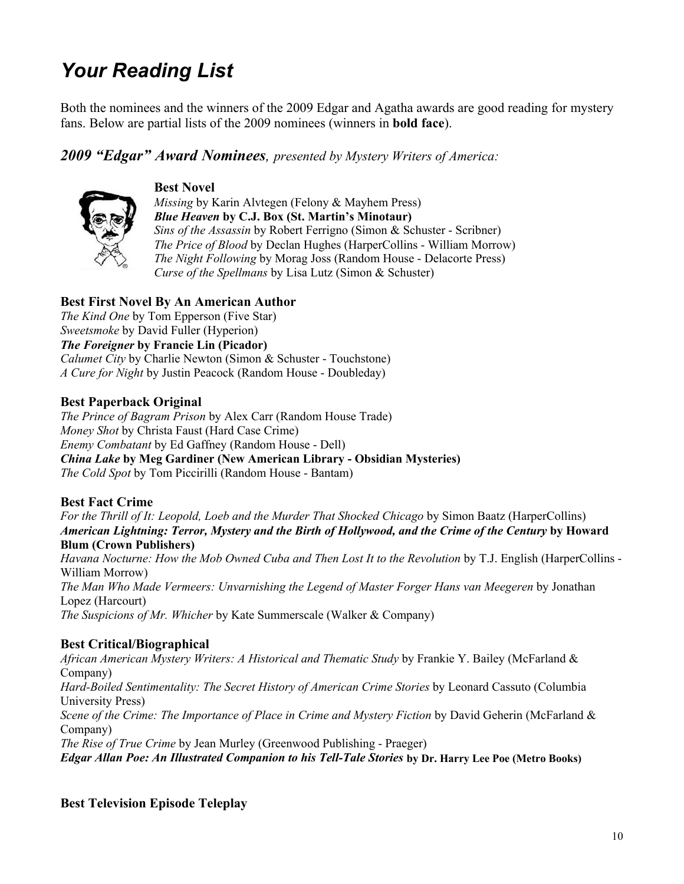# *Your Reading List*

Both the nominees and the winners of the 2009 Edgar and Agatha awards are good reading for mystery fans. Below are partial lists of the 2009 nominees (winners in **bold face**).

#### *2009 ³Edgar´ Award Nominees, presented by Mystery Writers of America:*



#### **Best Novel**

*Missing* by Karin Alvtegen (Felony & Mayhem Press) *Blue Heaven* by C.J. Box (St. Martin's Minotaur) *Sins of the Assassin* by Robert Ferrigno (Simon & Schuster - Scribner) *The Price of Blood* by Declan Hughes (HarperCollins - William Morrow) *The Night Following* by Morag Joss (Random House - Delacorte Press) *Curse of the Spellmans* by Lisa Lutz (Simon & Schuster)

#### **Best First Novel By An American Author**

*The Kind One* by Tom Epperson (Five Star) *Sweetsmoke* by David Fuller (Hyperion)

#### *The Foreigner* **by Francie Lin (Picador)**

*Calumet City* by Charlie Newton (Simon & Schuster - Touchstone) *A Cure for Night* by Justin Peacock (Random House - Doubleday)

#### **Best Paperback Original**

*The Prince of Bagram Prison* by Alex Carr (Random House Trade) *Money Shot* by Christa Faust (Hard Case Crime) *Enemy Combatant* by Ed Gaffney (Random House - Dell) *China Lake* **by Meg Gardiner (New American Library - Obsidian Mysteries)**  *The Cold Spot* by Tom Piccirilli (Random House - Bantam)

#### **Best Fact Crime**

*For the Thrill of It: Leopold, Loeb and the Murder That Shocked Chicago* by Simon Baatz (HarperCollins) *American Lightning: Terror, Mystery and the Birth of Hollywood, and the Crime of the Century* **by Howard Blum (Crown Publishers)** 

*Havana Nocturne: How the Mob Owned Cuba and Then Lost It to the Revolution* by T.J. English (HarperCollins - William Morrow) *The Man Who Made Vermeers: Unvarnishing the Legend of Master Forger Hans van Meegeren* by Jonathan Lopez (Harcourt) *The Suspicions of Mr. Whicher* by Kate Summerscale (Walker & Company)

#### **Best Critical/Biographical**

*African American Mystery Writers: A Historical and Thematic Study* by Frankie Y. Bailey (McFarland & Company) *Hard-Boiled Sentimentality: The Secret History of American Crime Stories* by Leonard Cassuto (Columbia University Press) *Scene of the Crime: The Importance of Place in Crime and Mystery Fiction* by David Geherin (McFarland & Company) *The Rise of True Crime* by Jean Murley (Greenwood Publishing - Praeger) *Edgar Allan Poe: An Illustrated Companion to his Tell-Tale Stories* **by Dr. Harry Lee Poe (Metro Books)** 

#### **Best Television Episode Teleplay**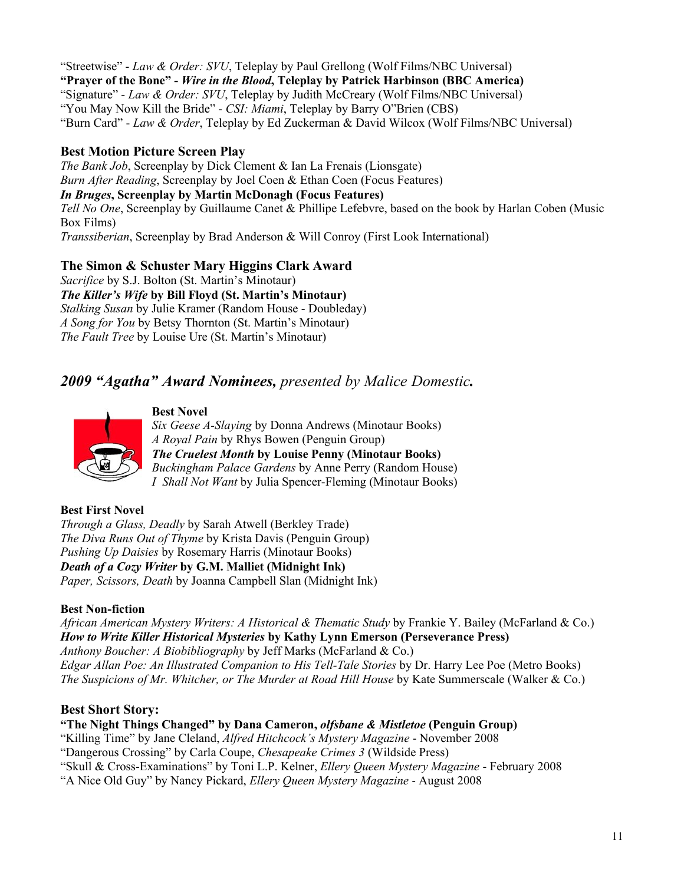"Streetwise" - *Law & Order: SVU*, Teleplay by Paul Grellong (Wolf Films/NBC Universal) **³Prayer of the Bone´ -** *Wire in the Blood***, Teleplay by Patrick Harbinson (BBC America)**  ³Signature´ - *Law & Order: SVU*, Teleplay by Judith McCreary (Wolf Films/NBC Universal) "You May Now Kill the Bride" - *CSI: Miami*, Teleplay by Barry O'Brien (CBS) ³Burn Card´ - *Law & Order*, Teleplay by Ed Zuckerman & David Wilcox (Wolf Films/NBC Universal)

#### **Best Motion Picture Screen Play**

*The Bank Job*, Screenplay by Dick Clement & Ian La Frenais (Lionsgate) *Burn After Reading*, Screenplay by Joel Coen & Ethan Coen (Focus Features) *In Bruges***, Screenplay by Martin McDonagh (Focus Features)**  *Tell No One*, Screenplay by Guillaume Canet & Phillipe Lefebvre, based on the book by Harlan Coben (Music Box Films) *Transsiberian*, Screenplay by Brad Anderson & Will Conroy (First Look International)

#### **The Simon & Schuster Mary Higgins Clark Award**

*Sacrifice* by S.J. Bolton (St. Martin's Minotaur) *The Killer¶s Wife* **by Bill Floyd (St. Martin¶s Minotaur)**  *Stalking Susan* by Julie Kramer (Random House - Doubleday) *A Song for You* by Betsy Thornton (St. Martin's Minotaur) *The Fault Tree* by Louise Ure (St. Martin's Minotaur)

## *2009 ³Agatha´ Award Nominees, presented by Malice Domestic.*



**Best Novel** *Six Geese A-Slaying* by Donna Andrews (Minotaur Books) *A Royal Pain* by Rhys Bowen (Penguin Group) *The Cruelest Month* **by Louise Penny (Minotaur Books)** *Buckingham Palace Gardens* by Anne Perry (Random House) *I Shall Not Want* by Julia Spencer-Fleming (Minotaur Books)

#### **Best First Novel**

*Through a Glass, Deadly* by Sarah Atwell (Berkley Trade) *The Diva Runs Out of Thyme* by Krista Davis (Penguin Group) *Pushing Up Daisies* by Rosemary Harris (Minotaur Books) *Death of a Cozy Writer* **by G.M. Malliet (Midnight Ink)** *Paper, Scissors, Death* by Joanna Campbell Slan (Midnight Ink)

#### **Best Non-fiction**

*African American Mystery Writers: A Historical & Thematic Study* by Frankie Y. Bailey (McFarland & Co.) *How to Write Killer Historical Mysteries* **by Kathy Lynn Emerson (Perseverance Press)** *Anthony Boucher: A Biobibliography* by Jeff Marks (McFarland & Co.) *Edgar Allan Poe: An Illustrated Companion to His Tell-Tale Stories* by Dr. Harry Lee Poe (Metro Books) *The Suspicions of Mr. Whitcher, or The Murder at Road Hill House* by Kate Summerscale (Walker & Co.)

#### **Best Short Story:**

#### **³The Night Things Changed´ by Dana Cameron,** *olfsbane & Mistletoe* **(Penguin Group)**

³Killing Time´ by Jane Cleland, *Alfred Hitchcock¶s Mystery Magazine* - November 2008

³Dangerous Crossing´ by Carla Coupe, *Chesapeake Crimes 3* (Wildside Press)

³Skull & Cross-Examinations´ by Toni L.P. Kelner, *Ellery Queen Mystery Magazine* - February 2008

³A Nice Old Guy´ by Nancy Pickard, *Ellery Queen Mystery Magazine* - August 2008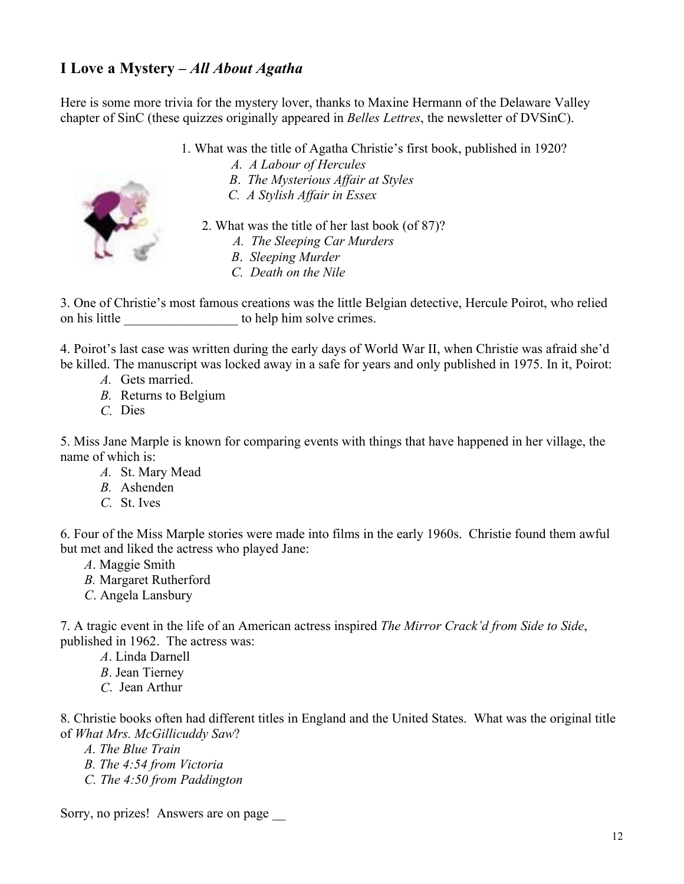# **I Love a Mystery ±** *All About Agatha*

Here is some more trivia for the mystery lover, thanks to Maxine Hermann of the Delaware Valley chapter of SinC (these quizzes originally appeared in *Belles Lettres*, the newsletter of DVSinC).

- 1. What was the title of Agatha Christie's first book, published in 1920?
	- *A. A Labour of Hercules*
	- *B*. *The Mysterious Affair at Styles*
	- *C. A Stylish Affair in Essex*



- *A. The Sleeping Car Murders*
- *B*. *Sleeping Murder*
- *C. Death on the Nile*

3. One of Christie's most famous creations was the little Belgian detective, Hercule Poirot, who relied on his little to help him solve crimes.

4. Poirot's last case was written during the early days of World War II, when Christie was afraid she'd be killed. The manuscript was locked away in a safe for years and only published in 1975. In it, Poirot:

- *A.* Gets married.
- *B.* Returns to Belgium
- *C.* Dies

5. Miss Jane Marple is known for comparing events with things that have happened in her village, the name of which is:

- *A.* St. Mary Mead
- *B.* Ashenden
- *C.* St. Ives

6. Four of the Miss Marple stories were made into films in the early 1960s. Christie found them awful but met and liked the actress who played Jane:

- *A*. Maggie Smith
- *B.* Margaret Rutherford
- *C*. Angela Lansbury

7. A tragic event in the life of an American actress inspired *The Mirror Crack'd from Side to Side*, published in 1962. The actress was:

- *A*. Linda Darnell
- *B*. Jean Tierney
- *C*. Jean Arthur

8. Christie books often had different titles in England and the United States. What was the original title of *What Mrs. McGillicuddy Saw*?

- *A. The Blue Train*
- *B. The 4:54 from Victoria*
- *C. The 4:50 from Paddington*

Sorry, no prizes! Answers are on page \_\_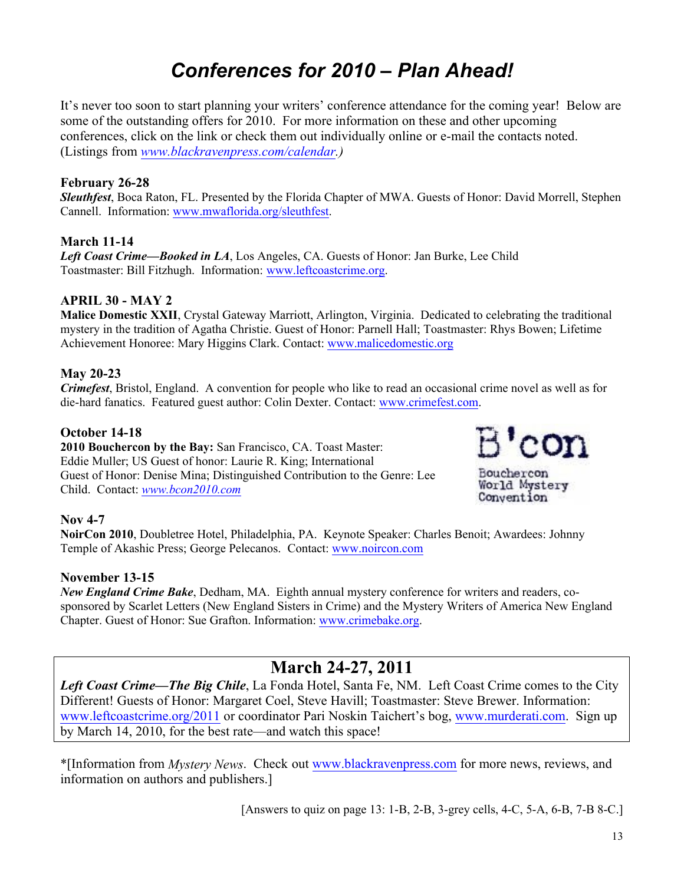# *Conferences for 2010 ± Plan Ahead!*

It's never too soon to start planning your writers' conference attendance for the coming year! Below are some of the outstanding offers for 2010. For more information on these and other upcoming conferences, click on the link or check them out individually online or e-mail the contacts noted. (Listings from *www.blackravenpress.com/calendar.)*

#### **February 26-28**

*Sleuthfest*, Boca Raton, FL. Presented by the Florida Chapter of MWA. Guests of Honor: David Morrell, Stephen Cannell. Information: www.mwaflorida.org/sleuthfest.

#### **March 11-14**

*Left Coast Crime²Booked in LA*, Los Angeles, CA. Guests of Honor: Jan Burke, Lee Child Toastmaster: Bill Fitzhugh. Information: www.leftcoastcrime.org.

#### **APRIL 30 - MAY 2**

**Malice Domestic XXII**, Crystal Gateway Marriott, Arlington, Virginia. Dedicated to celebrating the traditional mystery in the tradition of Agatha Christie. Guest of Honor: Parnell Hall; Toastmaster: Rhys Bowen; Lifetime Achievement Honoree: Mary Higgins Clark. Contact: www.malicedomestic.org

#### **May 20-23**

*Crimefest*, Bristol, England. A convention for people who like to read an occasional crime novel as well as for die-hard fanatics. Featured guest author: Colin Dexter. Contact: www.crimefest.com.

#### **October 14-18**

**2010 Bouchercon by the Bay:** San Francisco, CA. Toast Master: Eddie Muller; US Guest of honor: Laurie R. King; International Guest of Honor: Denise Mina; Distinguished Contribution to the Genre: Lee Child. Contact: *www.bcon2010.com*



#### **Nov 4-7**

**NoirCon 2010**, Doubletree Hotel, Philadelphia, PA. Keynote Speaker: Charles Benoit; Awardees: Johnny Temple of Akashic Press; George Pelecanos. Contact: www.noircon.com

#### **November 13-15**

*New England Crime Bake*, Dedham, MA. Eighth annual mystery conference for writers and readers, cosponsored by Scarlet Letters (New England Sisters in Crime) and the Mystery Writers of America New England Chapter. Guest of Honor: Sue Grafton. Information: www.crimebake.org.

# **March 24-27, 2011**

*Left Coast Crime—The Big Chile*, La Fonda Hotel, Santa Fe, NM. Left Coast Crime comes to the City Different! Guests of Honor: Margaret Coel, Steve Havill; Toastmaster: Steve Brewer. Information: www.leftcoastcrime.org/2011 or coordinator Pari Noskin Taichert's bog, www.murderati.com. Sign up by March 14, 2010, for the best rate—and watch this space!

\*[Information from *Mystery News*. Check out www.blackravenpress.com for more news, reviews, and information on authors and publishers.]

[Answers to quiz on page 13: 1-B, 2-B, 3-grey cells, 4-C, 5-A, 6-B, 7-B 8-C.]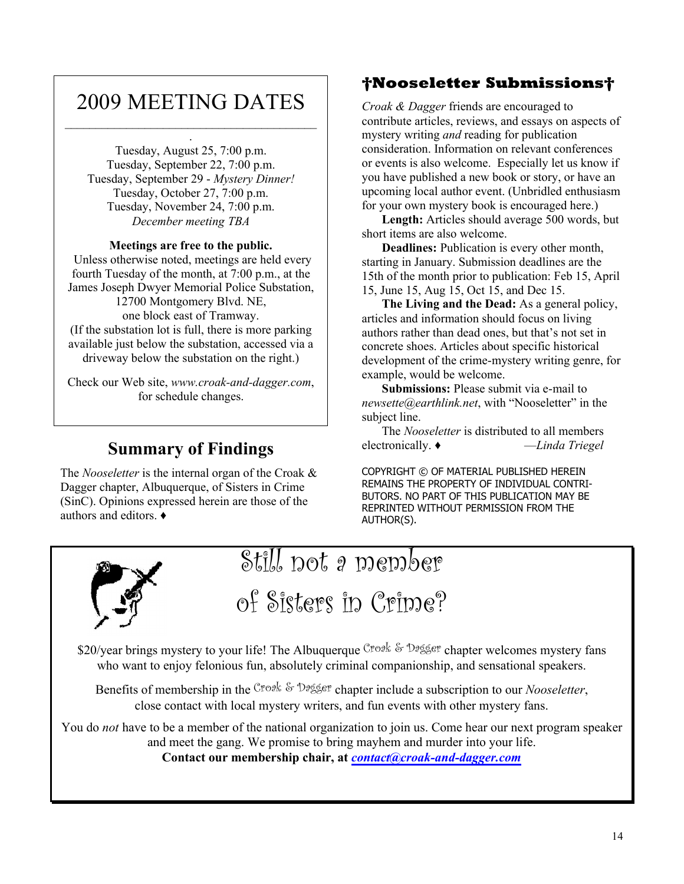# 2009 MEETING DATES  $\mathcal{L}_\text{max}$

.

Tuesday, August 25, 7:00 p.m. Tuesday, September 22, 7:00 p.m. Tuesday, September 29 - *Mystery Dinner!* Tuesday, October 27, 7:00 p.m. Tuesday, November 24, 7:00 p.m.

#### **Meetings are free to the public.**

*December meeting TBA*

 Unless otherwise noted, meetings are held every fourth Tuesday of the month, at 7:00 p.m., at the James Joseph Dwyer Memorial Police Substation, 12700 Montgomery Blvd. NE, one block east of Tramway. (If the substation lot is full, there is more parking available just below the substation, accessed via a driveway below the substation on the right.)

Check our Web site, *www.croak-and-dagger.com*, for schedule changes.

### **Summary of Findings**

The *Nooseletter* is the internal organ of the Croak & Dagger chapter, Albuquerque, of Sisters in Crime (SinC). Opinions expressed herein are those of the authors and editors.  $\triangleleft$ 

## **Nooseletter Submissions**

*Croak & Dagger* friends are encouraged to contribute articles, reviews, and essays on aspects of mystery writing *and* reading for publication consideration. Information on relevant conferences or events is also welcome. Especially let us know if you have published a new book or story, or have an upcoming local author event. (Unbridled enthusiasm for your own mystery book is encouraged here.)

**Length:** Articles should average 500 words, but short items are also welcome.

**Deadlines:** Publication is every other month, starting in January. Submission deadlines are the 15th of the month prior to publication: Feb 15, April 15, June 15, Aug 15, Oct 15, and Dec 15.

**The Living and the Dead:** As a general policy, articles and information should focus on living authors rather than dead ones, but that's not set in concrete shoes. Articles about specific historical development of the crime-mystery writing genre, for example, would be welcome.

**Submissions:** Please submit via e-mail to *newsette@earthlink.net*, with "Nooseletter" in the subject line.

The *Nooseletter* is distributed to all members electronically. ♦ <del>*Linda Triegel*</del>

COPYRIGHT © OF MATERIAL PUBLISHED HEREIN REMAINS THE PROPERTY OF INDIVIDUAL CONTRI-BUTORS. NO PART OF THIS PUBLICATION MAY BE REPRINTED WITHOUT PERMISSION FROM THE AUTHOR(S).



# Still not a member

of Sisters in Crime?

\$20/year brings mystery to your life! The Albuquerque Croak & Dagger chapter welcomes mystery fans who want to enjoy felonious fun, absolutely criminal companionship, and sensational speakers.

Benefits of membership in the Croak & Dagger chapter include a subscription to our *Nooseletter*, close contact with local mystery writers, and fun events with other mystery fans.

You do *not* have to be a member of the national organization to join us. Come hear our next program speaker and meet the gang. We promise to bring mayhem and murder into your life. **Contact our membership chair, at** *contact@croak-and-dagger.com*